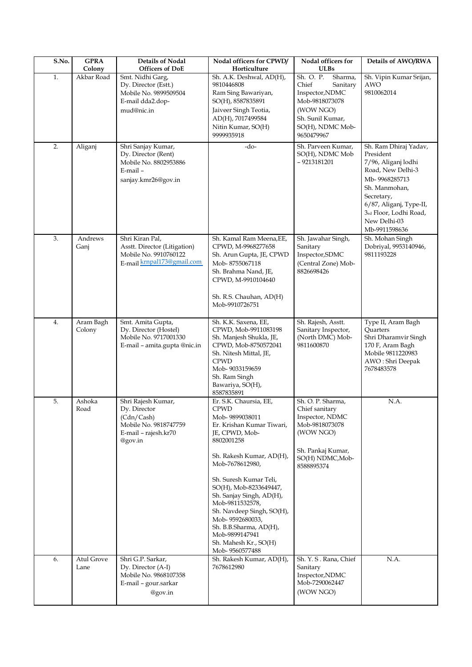| S.No. | <b>GPRA</b><br>Colony | <b>Details of Nodal</b><br><b>Officers of DoE</b>                                                               | Nodal officers for CPWD/<br>Horticulture                                                                                                                                                                                                                                                                                                                                                               | Nodal officers for<br><b>ULBs</b>                                                                                                                 | Details of AWO/RWA                                                                                                                                                                                                   |
|-------|-----------------------|-----------------------------------------------------------------------------------------------------------------|--------------------------------------------------------------------------------------------------------------------------------------------------------------------------------------------------------------------------------------------------------------------------------------------------------------------------------------------------------------------------------------------------------|---------------------------------------------------------------------------------------------------------------------------------------------------|----------------------------------------------------------------------------------------------------------------------------------------------------------------------------------------------------------------------|
| 1.    | Akbar Road            | Smt. Nidhi Garg,<br>Dy. Director (Estt.)<br>Mobile No. 9899509504<br>E-mail dda2.dop-<br>mud@nic.in             | Sh. A.K. Deshwal, AD(H),<br>9810446808<br>Ram Sing Bawariyan,<br>SO(H), 8587835891<br>Jaiveer Singh Teotia,<br>AD(H), 7017499584<br>Nitin Kumar, SO(H)<br>9999935918                                                                                                                                                                                                                                   | Sh. O. P.<br>Sharma,<br>Chief<br>Sanitary<br>Inspector, NDMC<br>Mob-9818073078<br>(WOW NGO)<br>Sh. Sunil Kumar,<br>SO(H), NDMC Mob-<br>9650479967 | Sh. Vipin Kumar Srijan,<br>AWO<br>9810062014                                                                                                                                                                         |
| 2.    | Aliganj               | Shri Sanjay Kumar,<br>Dy. Director (Rent)<br>Mobile No. 8802953886<br>E-mail-<br>sanjay.kmr26@gov.in            | -do-                                                                                                                                                                                                                                                                                                                                                                                                   | Sh. Parveen Kumar.<br>SO(H), NDMC Mob<br>$-9213181201$                                                                                            | Sh. Ram Dhiraj Yadav,<br>President<br>7/96, Aliganj lodhi<br>Road, New Delhi-3<br>Mb-9968285713<br>Sh. Manmohan,<br>Secretary,<br>6/87, Aliganj, Type-II,<br>3rd Floor, Lodhi Road,<br>New Delhi-03<br>Mb-9911598636 |
| 3.    | Andrews<br>Ganj       | Shri Kiran Pal,<br>Asstt. Director (Litigation)<br>Mobile No. 9910760122<br>E-mail krnpal173@gmail.com          | Sh. Kamal Ram Meena, EE,<br>CPWD, M-9968277658<br>Sh. Arun Gupta, JE, CPWD<br>Mob-8755067118<br>Sh. Brahma Nand, JE,<br>CPWD, M-9910104640<br>Sh. R.S. Chauhan, AD(H)<br>Mob-9910726751                                                                                                                                                                                                                | Sh. Jawahar Singh,<br>Sanitary<br>Inspector, SDMC<br>(Central Zone) Mob-<br>8826698426                                                            | Sh. Mohan Singh<br>Dobriyal, 9953140946,<br>9811193228                                                                                                                                                               |
| 4.    | Aram Bagh<br>Colony   | Smt. Amita Gupta,<br>Dy. Director (Hostel)<br>Mobile No. 9717001330<br>E-mail - amita.gupta @nic.in             | Sh. K.K. Saxena, EE,<br>CPWD, Mob-9911083198<br>Sh. Manjesh Shukla, JE,<br>CPWD, Mob-8750572041<br>Sh. Nitesh Mittal, JE,<br><b>CPWD</b><br>Mob-9033159659<br>Sh. Ram Singh<br>Bawariya, SO(H),<br>8587835891                                                                                                                                                                                          | Sh. Rajesh, Asstt.<br>Sanitary Inspector,<br>(North DMC) Mob-<br>9811600870                                                                       | Type II, Aram Bagh<br>Quarters<br>Shri Dharamvir Singh<br>170 F, Aram Bagh<br>Mobile 9811220983<br>AWO: Shri Deepak<br>7678483578                                                                                    |
| 5.    | Ashoka<br>Road        | Shri Rajesh Kumar,<br>Dy. Director<br>(Cdn/Cash)<br>Mobile No. 9818747759<br>E-mail - rajesh.kr70<br>$@$ gov.in | Er. S.K. Chaursia, EE,<br>CPWD<br>Mob-9899038011<br>Er. Krishan Kumar Tiwari,<br>JE, CPWD, Mob-<br>8802001258<br>Sh. Rakesh Kumar, AD(H),<br>Mob-7678612980,<br>Sh. Suresh Kumar Teli,<br>SO(H), Mob-8233649447,<br>Sh. Sanjay Singh, AD(H),<br>Mob-9811532578,<br>Sh. Navdeep Singh, SO(H),<br>Mob-9592680033,<br>Sh. B.B.Sharma, AD(H),<br>Mob-9899147941<br>Sh. Mahesh Kr., SO(H)<br>Mob-9560577488 | Sh. O. P. Sharma,<br>Chief sanitary<br>Inspector, NDMC<br>Mob-9818073078<br>(WOW NGO)<br>Sh. Pankaj Kumar,<br>SO(H) NDMC, Mob-<br>8588895374      | N.A.                                                                                                                                                                                                                 |
| 6.    | Atul Grove<br>Lane    | Shri G.P. Sarkar,<br>Dy. Director (A-I)<br>Mobile No. 9868107358<br>E-mail - gour.sarkar<br>@gov.in             | Sh. Rakesh Kumar, AD(H),<br>7678612980                                                                                                                                                                                                                                                                                                                                                                 | Sh. Y. S. Rana, Chief<br>Sanitary<br>Inspector, NDMC<br>Mob-7290062447<br>(WOW NGO)                                                               | N.A.                                                                                                                                                                                                                 |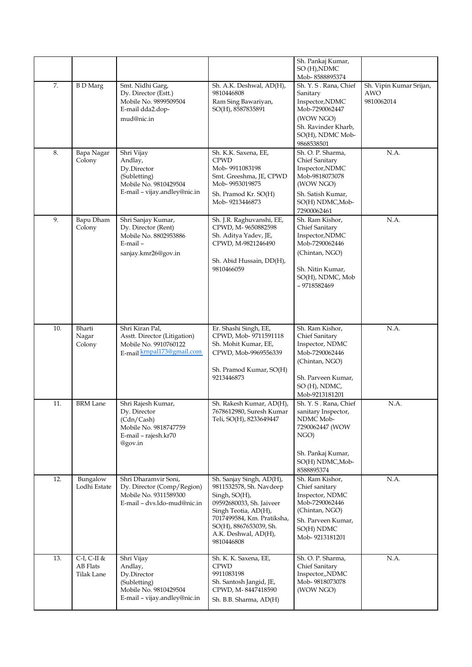|     |                                            |                                                                                                               |                                                                                                                                                                                                                        | Sh. Pankaj Kumar,<br>SO (H), NDMC<br>Mob-8588895374                                                                                               |                                              |
|-----|--------------------------------------------|---------------------------------------------------------------------------------------------------------------|------------------------------------------------------------------------------------------------------------------------------------------------------------------------------------------------------------------------|---------------------------------------------------------------------------------------------------------------------------------------------------|----------------------------------------------|
| 7.  | <b>B</b> D Marg                            | Smt. Nidhi Garg,<br>Dy. Director (Estt.)<br>Mobile No. 9899509504<br>E-mail dda2.dop-<br>mud@nic.in           | Sh. A.K. Deshwal, AD(H),<br>9810446808<br>Ram Sing Bawariyan,<br>SO(H), 8587835891                                                                                                                                     | Sh. Y. S. Rana, Chief<br>Sanitary<br>Inspector, NDMC<br>Mob-7290062447<br>(WOW NGO)<br>Sh. Ravinder Kharb,<br>SO(H), NDMC Mob-<br>9868538501      | Sh. Vipin Kumar Srijan,<br>AWO<br>9810062014 |
| 8.  | Bapa Nagar<br>Colony                       | Shri Vijay<br>Andlay,<br>Dy.Director<br>(Subletting)<br>Mobile No. 9810429504<br>E-mail - vijay.andley@nic.in | Sh. K.K. Saxena, EE,<br><b>CPWD</b><br>Mob-9911083198<br>Smt. Greeshma, JE, CPWD<br>Mob-9953019875<br>Sh. Pramod Kr. SO(H)<br>Mob-9213446873                                                                           | Sh. O. P. Sharma,<br>Chief Sanitary<br>Inspector, NDMC<br>Mob-9818073078<br>(WOW NGO)<br>Sh. Satish Kumar,<br>SO(H) NDMC, Mob-<br>72900062461     | N.A.                                         |
| 9.  | Bapu Dham<br>Colony                        | Shri Sanjay Kumar,<br>Dy. Director (Rent)<br>Mobile No. 8802953886<br>$E$ -mail $-$<br>sanjay.kmr26@gov.in    | Sh. J.R. Raghuvanshi, EE,<br>CPWD, M-9650882598<br>Sh. Aditya Yadev, JE,<br>CPWD, M-9821246490<br>Sh. Abid Hussain, DD(H),<br>9810466059                                                                               | Sh. Ram Kishor,<br>Chief Sanitary<br>Inspector, NDMC<br>Mob-7290062446<br>(Chintan, NGO)<br>Sh. Nitin Kumar,<br>SO(H), NDMC, Mob<br>$-9718582469$ | N.A.                                         |
| 10. | Bharti<br>Nagar<br>Colony                  | Shri Kiran Pal,<br>Asstt. Director (Litigation)<br>Mobile No. 9910760122<br>E-mail krnpal173@gmail.com        | Er. Shashi Singh, EE,<br>CPWD, Mob- 9711591118<br>Sh. Mohit Kumar, EE,<br>CPWD, Mob-9969556339<br>Sh. Pramod Kumar, SO(H)<br>9213446873                                                                                | Sh. Ram Kishor,<br>Chief Sanitary<br>Inspector, NDMC<br>Mob-7290062446<br>(Chintan, NGO)<br>Sh. Parveen Kumar,<br>SO (H), NDMC,<br>Mob-9213181201 | N.A.                                         |
| 11. | <b>BRM</b> Lane                            | Shri Rajesh Kumar,<br>Dy. Director<br>(Cdn/Cash)<br>Mobile No. 9818747759<br>E-mail - rajesh.kr70<br>@gov.in  | Sh. Rakesh Kumar, AD(H),<br>7678612980, Suresh Kumar<br>Teli, SO(H), 8233649447                                                                                                                                        | Sh. Y. S. Rana, Chief<br>sanitary Inspector,<br>NDMC Mob-<br>7290062447 (WOW<br>NGO)<br>Sh. Pankaj Kumar,<br>SO(H) NDMC, Mob-<br>8588895374       | N.A.                                         |
| 12. | Bungalow<br>Lodhi Estate                   | Shri Dharamvir Soni,<br>Dy. Director (Comp/Region)<br>Mobile No. 9311589300<br>E-mail - dvs.ldo-mud@nic.in    | Sh. Sanjay Singh, AD(H),<br>9811532578, Sh. Navdeep<br>Singh, SO(H),<br>09592680033, Sh. Jaiveer<br>Singh Teotia, AD(H),<br>7017499584, Km. Pratiksha,<br>SO(H), 8867653039, Sh.<br>A.K. Deshwal, AD(H),<br>9810446808 | Sh. Ram Kishor,<br>Chief sanitary<br>Inspector, NDMC<br>Mob-7290062446<br>(Chintan, NGO)<br>Sh. Parveen Kumar,<br>SO(H) NDMC<br>Mob-9213181201    | N.A.                                         |
| 13. | $C-I$ , $C-II$ &<br>AB Flats<br>Tilak Lane | Shri Vijay<br>Andlay,<br>Dy.Director<br>(Subletting)<br>Mobile No. 9810429504<br>E-mail - vijay.andley@nic.in | Sh. K. K. Saxena, EE,<br><b>CPWD</b><br>9911083198<br>Sh. Santosh Jangid, JE,<br>CPWD, M-8447418590<br>Sh. B.B. Sharma, AD(H)                                                                                          | Sh. O. P. Sharma,<br>Chief Sanitary<br>Inspector,,NDMC<br>Mob-9818073078<br>(WOW NGO)                                                             | N.A.                                         |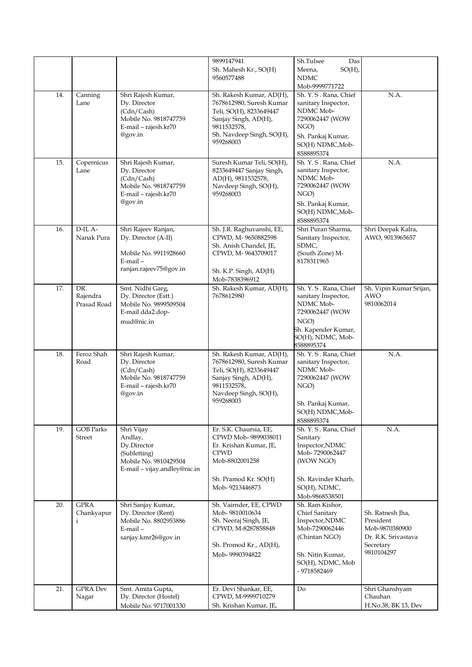|     |                                           |                                                                                                               | 9899147941<br>Sh. Mahesh Kr., SO(H)<br>9560577488                                                                                                                | Sh.Tulsee<br>Das<br>$SO(H)$ ,<br>Meena,<br><b>NDMC</b><br>Mob-9999771722                                                                        |                                                                                                   |
|-----|-------------------------------------------|---------------------------------------------------------------------------------------------------------------|------------------------------------------------------------------------------------------------------------------------------------------------------------------|-------------------------------------------------------------------------------------------------------------------------------------------------|---------------------------------------------------------------------------------------------------|
| 14. | Canning<br>Lane                           | Shri Rajesh Kumar,<br>Dy. Director<br>(Cdn/Cash)<br>Mobile No. 9818747759<br>E-mail - rajesh.kr70<br>@gov.in  | Sh. Rakesh Kumar, AD(H),<br>7678612980, Suresh Kumar<br>Teli, SO(H), 8233649447<br>Sanjay Singh, AD(H),<br>9811532578,<br>Sh. Navdeep Singh, SO(H),<br>959268003 | Sh. Y. S. Rana, Chief<br>sanitary Inspector,<br>NDMC Mob-<br>7290062447 (WOW<br>NGO)<br>Sh. Pankaj Kumar,<br>SO(H) NDMC, Mob-<br>8588895374     | N.A.                                                                                              |
| 15. | Copernicus<br>Lane                        | Shri Rajesh Kumar,<br>Dy. Director<br>(Cdn/Cash)<br>Mobile No. 9818747759<br>E-mail - rajesh.kr70<br>@gov.in  | Suresh Kumar Teli, SO(H),<br>8233649447 Sanjay Singh,<br>AD(H), 9811532578,<br>Navdeep Singh, SO(H),<br>959268003                                                | Sh. Y. S. Rana, Chief<br>sanitary Inspector,<br>NDMC Mob-<br>7290062447 (WOW<br>NGO)<br>Sh. Pankaj Kumar,<br>SO(H) NDMC, Mob-<br>8588895374     | N.A.                                                                                              |
| 16. | $D-II, A-$<br>Nanak Pura                  | Shri Rajeev Ranjan,<br>Dy. Director (A-II)<br>Mobile No. 9911928660<br>E-mail-<br>ranjan.rajeev75@gov.in      | Sh. J.R. Raghuvanshi, EE,<br>CPWD, M-9650882598<br>Sh. Anish Chandel, JE,<br>CPWD, M-9643709017<br>Sh. K.P. Singh, AD(H)<br>Mob-7838396912                       | Shri Puran Sharma,<br>Sanitary Inspector,<br>SDMC,<br>(South Zone) M-<br>8178311965                                                             | Shri Deepak Kalra,<br>AWO, 9013965657                                                             |
| 17. | DR.<br>Rajendra<br>Prasad Road            | Smt. Nidhi Garg,<br>Dy. Director (Estt.)<br>Mobile No. 9899509504<br>E-mail dda2.dop-<br>mud@nic.in           | Sh. Rakesh Kumar, AD(H),<br>7678612980                                                                                                                           | Sh. Y. S. Rana, Chief<br>sanitary Inspector,<br>NDMC Mob-<br>7290062447 (WOW<br>NGO)<br>Sh. Kapender Kumar,<br>SO(H), NDMC, Mob-<br>8588895374  | Sh. Vipin Kumar Srijan,<br><b>AWO</b><br>9810062014                                               |
| 18. | Feroz Shah<br>Road                        | Shri Rajesh Kumar,<br>Dy. Director<br>(Cdn/Cash)<br>Mobile No. 9818747759<br>E-mail - rajesh.kr70<br>@gov.in  | Sh. Rakesh Kumar, AD(H),<br>7678612980, Suresh Kumar<br>Teli, SO(H), 8233649447<br>Sanjay Singh, AD(H),<br>9811532578,<br>Navdeep Singh, SO(H),<br>959268003     | Sh. Y. S. Rana, Chief<br>sanitary Inspector,<br>NDMC Mob-<br>7290062447 (WOW<br>NGO)<br>Sh. Pankaj Kumar,<br>SO(H) NDMC, Mob-<br>8588895374     | N.A.                                                                                              |
| 19. | <b>GOB Parks</b><br>Street                | Shri Vijay<br>Andlay,<br>Dy.Director<br>(Subletting)<br>Mobile No. 9810429504<br>E-mail - vijay.andley@nic.in | Er. S.K. Chaursia, EE,<br>CPWD Mob-9899038011<br>Er. Krishan Kumar, JE,<br><b>CPWD</b><br>Mob-8802001258<br>Sh. Pramod Kr. SO(H)<br>Mob-9213446873               | Sh. Y. S. Rana, Chief<br>Sanitary<br>Inspector, NDMC<br>Mob-7290062447<br>(WOW NGO)<br>Sh. Ravinder Kharb,<br>SO(H), NDMC,<br>Mob-9868538501    | N.A.                                                                                              |
| 20. | <b>GPRA</b><br>Chankyapur<br>$\mathbf{i}$ | Shri Sanjay Kumar,<br>Dy. Director (Rent)<br>Mobile No. 8802953886<br>$E$ -mail $-$<br>sanjay.kmr26@gov.in    | Sh. Vairnder, EE, CPWD<br>Mob-9810010634<br>Sh. Neeraj Singh, JE,<br>CPWD, M-8287858848<br>Sh. Promod Kr., AD(H),<br>Mob-9990394822                              | Sh. Ram Kishor,<br>Chief Sanitary<br>Inspector, NDMC<br>Mob-7290062446<br>(Chintan NGO)<br>Sh. Nitin Kumar,<br>SO(H), NDMC, Mob<br>- 9718582469 | Sh. Ratnesh Jha,<br>President<br>Mob-9870380900<br>Dr. R.K. Srivastava<br>Secretary<br>9810104297 |
| 21. | <b>GPRA Dev</b><br>Nagar                  | Smt. Amita Gupta,<br>Dy. Director (Hostel)<br>Mobile No. 9717001330                                           | Er. Devi Shankar, EE,<br>CPWD, M-9999710279<br>Sh. Krishan Kumar, JE,                                                                                            | Do                                                                                                                                              | Shri Ghanshyam<br>Chauhan<br>H.No.38, BK 13, Dev                                                  |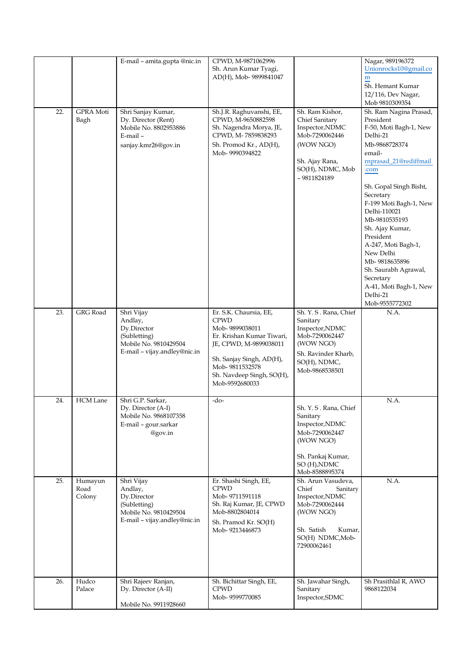|     |                 | E-mail - amita.gupta @nic.in                          | CPWD, M-9871062996                            |                                     | Nagar, 989196372                    |
|-----|-----------------|-------------------------------------------------------|-----------------------------------------------|-------------------------------------|-------------------------------------|
|     |                 |                                                       | Sh. Arun Kumar Tyagi,                         |                                     | Unionrocks10@gmail.co               |
|     |                 |                                                       | AD(H), Mob- 9899841047                        |                                     | ${\bf m}$                           |
|     |                 |                                                       |                                               |                                     | Sh. Hemant Kumar                    |
|     |                 |                                                       |                                               |                                     | 12/116, Dev Nagar,                  |
|     |                 |                                                       |                                               |                                     | Mob 9810309354                      |
| 22. | GPRA Moti       | Shri Sanjay Kumar,                                    | Sh.J.R. Raghuvanshi, EE,                      | Sh. Ram Kishor,                     | Sh. Ram Nagina Prasad,              |
|     | Bagh            | Dy. Director (Rent)<br>Mobile No. 8802953886          | CPWD, M-9650882598                            | Chief Sanitary<br>Inspector, NDMC   | President<br>F-50, Moti Bagh-1, New |
|     |                 | E-mail-                                               | Sh. Nagendra Morya, JE,<br>CPWD, M-7859838293 | Mob-7290062446                      | Delhi-21                            |
|     |                 | sanjay.kmr26@gov.in                                   | Sh. Promod Kr., AD(H),                        | (WOW NGO)                           | Mb-9868728374                       |
|     |                 |                                                       | Mob-9990394822                                |                                     | email-                              |
|     |                 |                                                       |                                               | Sh. Ajay Rana,                      | rnprasad_21@rediffmail              |
|     |                 |                                                       |                                               | SO(H), NDMC, Mob                    | .com                                |
|     |                 |                                                       |                                               | - 9811824189                        |                                     |
|     |                 |                                                       |                                               |                                     | Sh. Gopal Singh Bisht,              |
|     |                 |                                                       |                                               |                                     | Secretary                           |
|     |                 |                                                       |                                               |                                     | F-199 Moti Bagh-1, New              |
|     |                 |                                                       |                                               |                                     | Delhi-110021                        |
|     |                 |                                                       |                                               |                                     | Mb-9810535193                       |
|     |                 |                                                       |                                               |                                     | Sh. Ajay Kumar,                     |
|     |                 |                                                       |                                               |                                     | President                           |
|     |                 |                                                       |                                               |                                     | A-247, Moti Bagh-1,                 |
|     |                 |                                                       |                                               |                                     | New Delhi<br>Mb-9818635896          |
|     |                 |                                                       |                                               |                                     | Sh. Saurabh Agrawal,                |
|     |                 |                                                       |                                               |                                     | Secretary                           |
|     |                 |                                                       |                                               |                                     | A-41, Moti Bagh-1, New              |
|     |                 |                                                       |                                               |                                     | Delhi-21                            |
|     |                 |                                                       |                                               |                                     | Mob-9555772302                      |
| 23. | GRG Road        | Shri Vijay                                            | Er. S.K. Chaursia, EE,                        | Sh. Y. S. Rana, Chief               | N.A.                                |
|     |                 | Andlay,                                               | <b>CPWD</b>                                   | Sanitary                            |                                     |
|     |                 | Dy.Director                                           | Mob-9899038011                                | Inspector, NDMC                     |                                     |
|     |                 | (Subletting)                                          | Er. Krishan Kumar Tiwari,                     | Mob-7290062447                      |                                     |
|     |                 | Mobile No. 9810429504<br>E-mail - vijay.andley@nic.in | JE, CPWD, M-9899038011                        | (WOW NGO)                           |                                     |
|     |                 |                                                       | Sh. Sanjay Singh, AD(H),                      | Sh. Ravinder Kharb,<br>SO(H), NDMC, |                                     |
|     |                 |                                                       | Mob-9811532578                                | Mob-9868538501                      |                                     |
|     |                 |                                                       | Sh. Navdeep Singh, SO(H),                     |                                     |                                     |
|     |                 |                                                       | Mob-9592680033                                |                                     |                                     |
|     |                 |                                                       |                                               |                                     |                                     |
| 24. | <b>HCM</b> Lane | Shri G.P. Sarkar,                                     | -do-                                          |                                     | N.A.                                |
|     |                 | Dy. Director (A-I)<br>Mobile No. 9868107358           |                                               | Sh. Y. S. Rana, Chief<br>Sanitary   |                                     |
|     |                 | E-mail - gour.sarkar                                  |                                               | Inspector, NDMC                     |                                     |
|     |                 | @gov.in                                               |                                               | Mob-7290062447                      |                                     |
|     |                 |                                                       |                                               | (WOW NGO)                           |                                     |
|     |                 |                                                       |                                               |                                     |                                     |
|     |                 |                                                       |                                               | Sh. Pankaj Kumar,                   |                                     |
|     |                 |                                                       |                                               | SO (H), NDMC                        |                                     |
|     |                 |                                                       |                                               | Mob-8588895374                      |                                     |
| 25. | Humayun<br>Road | Shri Vijay                                            | Er. Shashi Singh, EE,<br><b>CPWD</b>          | Sh. Arun Vasudeva,<br>Chief         | N.A.                                |
|     | Colony          | Andlay,<br>Dy.Director                                | Mob-9711591118                                | Sanitary<br>Inspector, NDMC         |                                     |
|     |                 | (Subletting)                                          | Sh. Raj Kumar, JE, CPWD                       | Mob-7290062444                      |                                     |
|     |                 | Mobile No. 9810429504                                 | Mob-8802804014                                | (WOW NGO)                           |                                     |
|     |                 | E-mail - vijay.andley@nic.in                          | Sh. Pramod Kr. SO(H)                          |                                     |                                     |
|     |                 |                                                       | Mob-9213446873                                | Sh. Satish<br>Kumar,                |                                     |
|     |                 |                                                       |                                               | SO(H) NDMC, Mob-                    |                                     |
|     |                 |                                                       |                                               | 72900062461                         |                                     |
|     |                 |                                                       |                                               |                                     |                                     |
|     |                 |                                                       |                                               |                                     |                                     |
|     |                 |                                                       |                                               |                                     |                                     |
| 26. | Hudco<br>Palace | Shri Rajeev Ranjan,<br>Dy. Director (A-II)            | Sh. Bichittar Singh, EE,<br><b>CPWD</b>       | Sh. Jawahar Singh,<br>Sanitary      | Sh Prasithlal R, AWO<br>9868122034  |
|     |                 |                                                       | Mob-9599770085                                | Inspector, SDMC                     |                                     |
|     |                 | Mobile No. 9911928660                                 |                                               |                                     |                                     |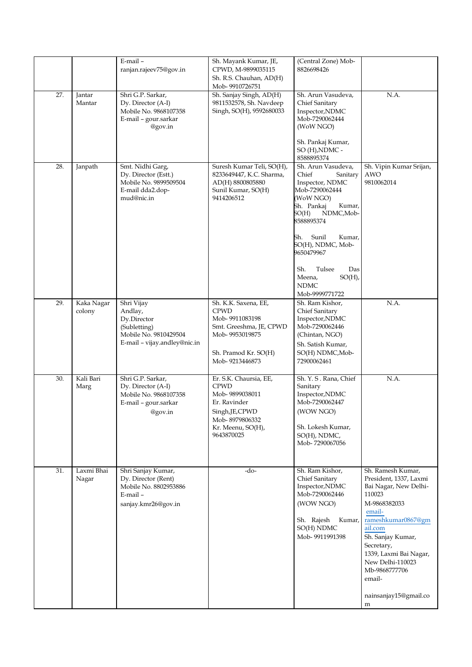|     |                      | E-mail-<br>ranjan.rajeev75@gov.in                                                                             | Sh. Mayank Kumar, JE,<br>CPWD, M-9899035115<br>Sh. R.S. Chauhan, AD(H)<br>Mob-9910726751                                                        | (Central Zone) Mob-<br>8826698426                                                                                                                                                                                                                                                                  |                                                                                                                                                                                                                                                                                     |
|-----|----------------------|---------------------------------------------------------------------------------------------------------------|-------------------------------------------------------------------------------------------------------------------------------------------------|----------------------------------------------------------------------------------------------------------------------------------------------------------------------------------------------------------------------------------------------------------------------------------------------------|-------------------------------------------------------------------------------------------------------------------------------------------------------------------------------------------------------------------------------------------------------------------------------------|
| 27. | Jantar<br>Mantar     | Shri G.P. Sarkar,<br>Dy. Director (A-I)<br>Mobile No. 9868107358<br>E-mail - gour.sarkar<br>@gov.in           | Sh. Sanjay Singh, AD(H)<br>9811532578, Sh. Navdeep<br>Singh, SO(H), 9592680033                                                                  | Sh. Arun Vasudeva,<br>Chief Sanitary<br>Inspector, NDMC<br>Mob-7290062444<br>(WoW NGO)<br>Sh. Pankaj Kumar,<br>SO (H), NDMC -<br>8588895374                                                                                                                                                        | N.A.                                                                                                                                                                                                                                                                                |
| 28. | Janpath              | Smt. Nidhi Garg,<br>Dy. Director (Estt.)<br>Mobile No. 9899509504<br>E-mail dda2.dop-<br>mud@nic.in           | Suresh Kumar Teli, SO(H),<br>8233649447, K.C. Sharma,<br>AD(H) 8800805880<br>Sunil Kumar, SO(H)<br>9414206512                                   | Sh. Arun Vasudeva,<br>Chief<br>Sanitary<br>Inspector, NDMC<br>Mob-7290062444<br>WoW NGO)<br>Sh. Pankaj<br>Kumar,<br>SO(H)<br>NDMC, Mob-<br>8588895374<br>Sh.<br>Sunil<br>Kumar,<br>SO(H), NDMC, Mob-<br>9650479967<br>Sh.<br>Das<br>Tulsee<br>$SO(H)$ ,<br>Meena,<br><b>NDMC</b><br>Mob-9999771722 | Sh. Vipin Kumar Srijan,<br><b>AWO</b><br>9810062014                                                                                                                                                                                                                                 |
| 29. | Kaka Nagar<br>colony | Shri Vijay<br>Andlay,<br>Dy.Director<br>(Subletting)<br>Mobile No. 9810429504<br>E-mail - vijay.andley@nic.in | Sh. K.K. Saxena, EE,<br><b>CPWD</b><br>Mob-9911083198<br>Smt. Greeshma, JE, CPWD<br>Mob-9953019875<br>Sh. Pramod Kr. SO(H)<br>Mob-9213446873    | Sh. Ram Kishor,<br>Chief Sanitary<br>Inspector, NDMC<br>Mob-7290062446<br>(Chintan, NGO)<br>Sh. Satish Kumar,<br>SO(H) NDMC, Mob-<br>72900062461                                                                                                                                                   | N.A.                                                                                                                                                                                                                                                                                |
| 30. | Kali Bari<br>Marg    | Shri G.P. Sarkar,<br>Dy. Director (A-I)<br>Mobile No. 9868107358<br>E-mail - gour.sarkar<br>@gov.in           | Er. S.K. Chaursia, EE,<br><b>CPWD</b><br>Mob-9899038011<br>Er. Ravinder<br>Singh, JE, CPWD<br>Mob-8979806332<br>Kr. Meenu, SO(H),<br>9643870025 | Sh. Y. S. Rana, Chief<br>Sanitary<br>Inspector, NDMC<br>Mob-7290062447<br>(WOW NGO)<br>Sh. Lokesh Kumar,<br>SO(H), NDMC,<br>Mob-7290067056                                                                                                                                                         | N.A.                                                                                                                                                                                                                                                                                |
| 31. | Laxmi Bhai<br>Nagar  | Shri Sanjay Kumar,<br>Dy. Director (Rent)<br>Mobile No. 8802953886<br>$E$ -mail $-$<br>sanjay.kmr26@gov.in    | -do-                                                                                                                                            | Sh. Ram Kishor,<br>Chief Sanitary<br>Inspector, NDMC<br>Mob-7290062446<br>(WOW NGO)<br>Sh. Rajesh<br>Kumar,<br>SO(H) NDMC<br>Mob-9911991398                                                                                                                                                        | Sh. Ramesh Kumar,<br>President, 1337, Laxmi<br>Bai Nagar, New Delhi-<br>110023<br>M-9868382033<br>email-<br>rameshkumar0867@gm<br>ail.com<br>Sh. Sanjay Kumar,<br>Secretary,<br>1339, Laxmi Bai Nagar,<br>New Delhi-110023<br>Mb-9868777706<br>email-<br>nainsanjay15@gmail.co<br>m |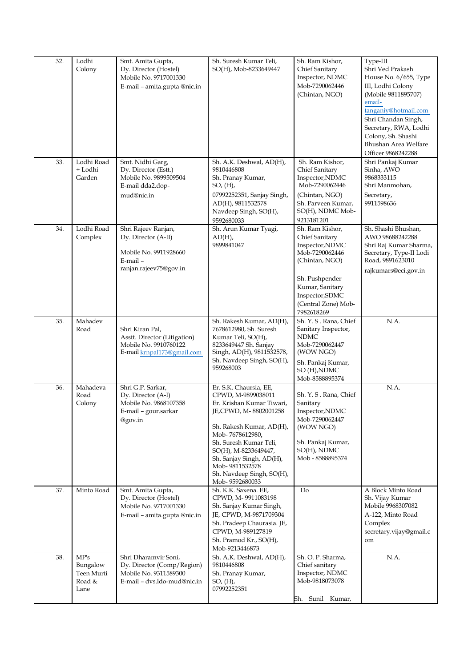| 32. | Lodhi<br>Colony                                  | Smt. Amita Gupta,<br>Dy. Director (Hostel)<br>Mobile No. 9717001330<br>E-mail – amita.gupta @nic.in        | Sh. Suresh Kumar Teli,<br>SO(H), Mob-8233649447                                                                                                                                                                                                                                                   | Sh. Ram Kishor,<br>Chief Sanitary<br>Inspector, NDMC<br>Mob-7290062446<br>(Chintan, NGO)                                                                                              | Type-III<br>Shri Ved Prakash<br>House No. 6/655, Type<br>III, Lodhi Colony<br>(Mobile 9811895707)<br>email-<br>tanganiy@hotmail.com<br>Shri Chandan Singh,<br>Secretary, RWA, Lodhi<br>Colony, Sh. Shashi<br>Bhushan Area Welfare<br>Officer 9868242288 |
|-----|--------------------------------------------------|------------------------------------------------------------------------------------------------------------|---------------------------------------------------------------------------------------------------------------------------------------------------------------------------------------------------------------------------------------------------------------------------------------------------|---------------------------------------------------------------------------------------------------------------------------------------------------------------------------------------|---------------------------------------------------------------------------------------------------------------------------------------------------------------------------------------------------------------------------------------------------------|
| 33. | Lodhi Road<br>+ Lodhi<br>Garden                  | Smt. Nidhi Garg,<br>Dy. Director (Estt.)<br>Mobile No. 9899509504<br>E-mail dda2.dop-<br>mud@nic.in        | Sh. A.K. Deshwal, AD(H),<br>9810446808<br>Sh. Pranay Kumar,<br>$SO$ , $(H)$ ,<br>07992252351, Sanjay Singh,<br>AD(H), 9811532578<br>Navdeep Singh, SO(H),<br>9592680033                                                                                                                           | Sh. Ram Kishor,<br>Chief Sanitary<br>Inspector, NDMC<br>Mob-7290062446<br>(Chintan, NGO)<br>Sh. Parveen Kumar,<br>SO(H), NDMC Mob-<br>9213181201                                      | Shri Pankaj Kumar<br>Sinha, AWO<br>9868333115<br>Shri Manmohan,<br>Secretary,<br>9911598636                                                                                                                                                             |
| 34. | Lodhi Road<br>Complex                            | Shri Rajeev Ranjan,<br>Dy. Director (A-II)<br>Mobile No. 9911928660<br>E-mail-<br>ranjan.rajeev75@gov.in   | Sh. Arun Kumar Tyagi,<br>$AD(H)$ ,<br>9899841047                                                                                                                                                                                                                                                  | Sh. Ram Kishor,<br>Chief Sanitary<br>Inspector, NDMC<br>Mob-7290062446<br>(Chintan, NGO)<br>Sh. Pushpender<br>Kumar, Sanitary<br>Inspector, SDMC<br>(Central Zone) Mob-<br>7982618269 | Sh. Shashi Bhushan,<br>AWO 98688242288<br>Shri Raj Kumar Sharma,<br>Secretary, Type-II Lodi<br>Road, 9891623010<br>rajkumars@eci.gov.in                                                                                                                 |
| 35. | Mahadev<br>Road                                  | Shri Kiran Pal,<br>Asstt. Director (Litigation)<br>Mobile No. 9910760122<br>E-mail krnpal173@gmail.com     | Sh. Rakesh Kumar, AD(H),<br>7678612980, Sh. Suresh<br>Kumar Teli, SO(H),<br>8233649447 Sh. Sanjay<br>Singh, AD(H), 9811532578,<br>Sh. Navdeep Singh, SO(H),<br>959268003                                                                                                                          | Sh. Y. S. Rana, Chief<br>Sanitary Inspector,<br><b>NDMC</b><br>Mob-7290062447<br>(WOW NGO)<br>Sh. Pankaj Kumar,<br>SO (H), NDMC<br>Mob-8588895374                                     | N.A.                                                                                                                                                                                                                                                    |
| 36. | Mahadeva<br>Road<br>Colony                       | Shri G.P. Sarkar,<br>Dy. Director (A-I)<br>Mobile No. 9868107358<br>E-mail - gour.sarkar<br>@gov.in        | Er. S.K. Chaursia, EE,<br>CPWD, M-9899038011<br>Er. Krishan Kumar Tiwari,<br>JE, CPWD, M-8802001258<br>Sh. Rakesh Kumar, AD(H),<br>Mob-7678612980,<br>Sh. Suresh Kumar Teli,<br>SO(H), M-8233649447,<br>Sh. Sanjay Singh, AD(H),<br>Mob-9811532578<br>Sh. Navdeep Singh, SO(H),<br>Mob-9592680033 | Sh. Y. S. Rana, Chief<br>Sanitary<br>Inspector, NDMC<br>Mob-7290062447<br>(WOW NGO)<br>Sh. Pankaj Kumar,<br>SO(H), NDMC<br>Mob - 8588895374                                           | N.A.                                                                                                                                                                                                                                                    |
| 37. | Minto Road                                       | Smt. Amita Gupta,<br>Dy. Director (Hostel)<br>Mobile No. 9717001330<br>E-mail - amita.gupta @nic.in        | Sh. K.K. Saxena. EE,<br>CPWD, M-9911083198<br>Sh. Sanjay Kumar Singh,<br>JE, CPWD, M-9871709304<br>Sh. Pradeep Chaurasia. JE,<br>CPWD, M-989127819<br>Sh. Pramod Kr., SO(H),<br>Mob-9213446873                                                                                                    | Do                                                                                                                                                                                    | A Block Minto Road<br>Sh. Vijay Kumar<br>Mobile 9968307082<br>A-122, Minto Road<br>Complex<br>secretary.vijay@gmail.c<br>om                                                                                                                             |
| 38. | MP's<br>Bungalow<br>Teen Murti<br>Road &<br>Lane | Shri Dharamvir Soni,<br>Dy. Director (Comp/Region)<br>Mobile No. 9311589300<br>E-mail - dvs.ldo-mud@nic.in | Sh. A.K. Deshwal, AD(H),<br>9810446808<br>Sh. Pranay Kumar,<br>$SO, (H)$ ,<br>07992252351                                                                                                                                                                                                         | Sh. O. P. Sharma,<br>Chief sanitary<br>Inspector, NDMC<br>Mob-9818073078<br>Sh. Sunil Kumar,                                                                                          | N.A.                                                                                                                                                                                                                                                    |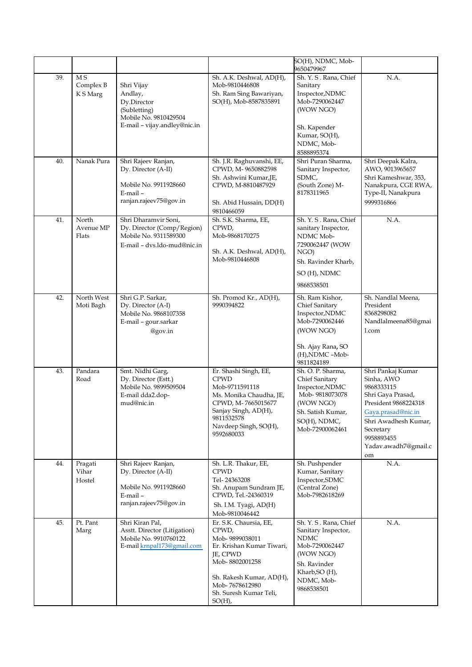|     |                              |                                                                                                                |                                                                                                                                                                                                   | SO(H), NDMC, Mob-<br>9650479967                                                                                                                          |                                                                                                                                                                                                   |
|-----|------------------------------|----------------------------------------------------------------------------------------------------------------|---------------------------------------------------------------------------------------------------------------------------------------------------------------------------------------------------|----------------------------------------------------------------------------------------------------------------------------------------------------------|---------------------------------------------------------------------------------------------------------------------------------------------------------------------------------------------------|
| 39. | M S<br>Complex B<br>K S Marg | Shri Vijay<br>Andlay,<br>Dy.Director<br>(Subletting)<br>Mobile No. 9810429504<br>E-mail - vijay.andley@nic.in  | Sh. A.K. Deshwal, AD(H),<br>Mob-9810446808<br>Sh. Ram Sing Bawariyan,<br>SO(H), Mob-8587835891                                                                                                    | Sh. Y. S. Rana, Chief<br>Sanitary<br>Inspector, NDMC<br>Mob-7290062447<br>(WOW NGO)<br>Sh. Kapender<br>Kumar, SO(H),<br>NDMC, Mob-<br>8588895374         | N.A.                                                                                                                                                                                              |
| 40. | Nanak Pura                   | Shri Rajeev Ranjan,<br>Dy. Director (A-II)<br>Mobile No. 9911928660<br>E-mail-<br>ranjan.rajeev75@gov.in       | Sh. J.R. Raghuvanshi, EE,<br>CPWD, M-9650882598<br>Sh. Ashwini Kumar, JE,<br>CPWD, M-8810487929<br>Sh. Abid Hussain, DD(H)<br>9810466059                                                          | Shri Puran Sharma,<br>Sanitary Inspector,<br>SDMC,<br>(South Zone) M-<br>8178311965                                                                      | Shri Deepak Kalra,<br>AWO, 9013965657<br>Shri Kameshwar, 353,<br>Nanakpura, CGE RWA,<br>Type-II, Nanakpura<br>9999316866                                                                          |
| 41. | North<br>Avenue MP<br>Flats  | Shri Dharamvir Soni,<br>Dy. Director (Comp/Region)<br>Mobile No. 9311589300<br>E-mail - dvs.ldo-mud@nic.in     | Sh. S.K. Sharma, EE,<br>CPWD,<br>Mob-9868170275<br>Sh. A.K. Deshwal, AD(H),<br>Mob-9810446808                                                                                                     | Sh. Y. S. Rana, Chief<br>sanitary Inspector,<br>NDMC Mob-<br>7290062447 (WOW<br>NGO)<br>Sh. Ravinder Kharb,<br>SO (H), NDMC<br>9868538501                | N.A.                                                                                                                                                                                              |
| 42. | North West<br>Moti Bagh      | Shri G.P. Sarkar,<br>Dy. Director (A-I)<br>Mobile No. 9868107358<br>E-mail - gour.sarkar<br>@gov.in            | Sh. Promod Kr., AD(H),<br>9990394822                                                                                                                                                              | Sh. Ram Kishor,<br>Chief Sanitary<br>Inspector, NDMC<br>Mob-7290062446<br>(WOW NGO)<br>Sh. Ajay Rana, SO<br>(H), NDMC -Mob-<br>9811824189                | Sh. Nandlal Meena,<br>President<br>8368298082<br>Nandlalmeena85@gmai<br>1.com                                                                                                                     |
| 43. | Pandara<br>Road              | Smt. Nidhi Garg,<br>Dy. Director (Estt.)<br>Mobile No. 9899509504<br>E-mail dda2.dop-<br>mud@nic.in            | Er. Shashi Singh, EE,<br><b>CPWD</b><br>Mob-9711591118<br>Ms. Monika Chaudha, JE,<br>CPWD, M-7665015677<br>Sanjay Singh, AD(H),<br>9811532578<br>Navdeep Singh, SO(H),<br>9592680033              | Sh. O. P. Sharma,<br>Chief Sanitary<br>Inspector, NDMC<br>Mob-9818073078<br>(WOW NGO)<br>Sh. Satish Kumar,<br>SO(H), NDMC,<br>Mob-72900062461            | Shri Pankaj Kumar<br>Sinha, AWO<br>9868333115<br>Shri Gaya Prasad,<br>President 9868224318<br>Gaya.prasad@nic.in<br>Shri Awadhesh Kumar,<br>Secretary<br>9958893455<br>Yadav.awadh7@gmail.c<br>om |
| 44. | Pragati<br>Vihar<br>Hostel   | Shri Rajeev Ranjan,<br>Dy. Director (A-II)<br>Mobile No. 9911928660<br>$E$ -mail $-$<br>ranjan.rajeev75@gov.in | Sh. L.R. Thakur, EE,<br><b>CPWD</b><br>Tel-24363208<br>Sh. Anupam Sundram JE,<br>CPWD, Tel.-24360319<br>Sh. I.M. Tyagi, AD(H)<br>Mob-9810046442                                                   | Sh. Pushpender<br>Kumar, Sanitary<br>Inspector, SDMC<br>(Central Zone)<br>Mob-7982618269                                                                 | N.A.                                                                                                                                                                                              |
| 45. | Pt. Pant<br>Marg             | Shri Kiran Pal,<br>Asstt. Director (Litigation)<br>Mobile No. 9910760122<br>E-mail krnpal173@gmail.com         | Er. S.K. Chaursia, EE,<br>CPWD,<br>Mob-9899038011<br>Er. Krishan Kumar Tiwari,<br>JE, CPWD<br>Mob-8802001258<br>Sh. Rakesh Kumar, AD(H),<br>Mob-7678612980<br>Sh. Suresh Kumar Teli,<br>$SO(H)$ , | Sh. Y. S. Rana, Chief<br>Sanitary Inspector,<br><b>NDMC</b><br>Mob-7290062447<br>(WOW NGO)<br>Sh. Ravinder<br>Kharb, SO (H),<br>NDMC, Mob-<br>9868538501 | N.A.                                                                                                                                                                                              |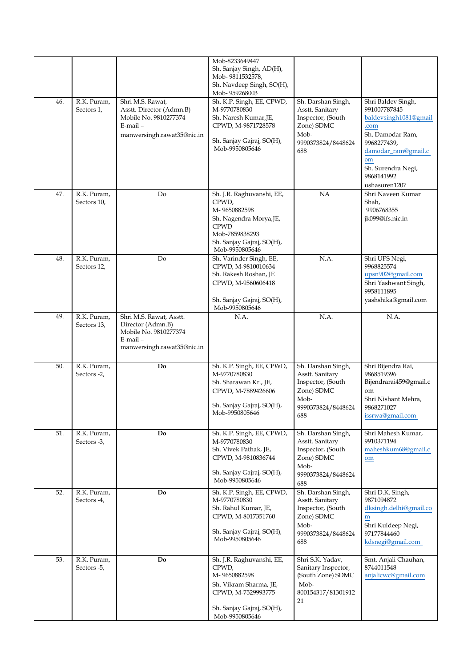| 46. | R.K. Puram,<br>Sectors 1,  | Shri M.S. Rawat,<br>Asstt. Director (Admn.B)<br>Mobile No. 9810277374<br>E-mail-<br>manwersingh.rawat35@nic.in | Mob-8233649447<br>Sh. Sanjay Singh, AD(H),<br>Mob-9811532578,<br>Sh. Navdeep Singh, SO(H),<br>Mob-959268003<br>Sh. K.P. Singh, EE, CPWD,<br>M-9770780830<br>Sh. Naresh Kumar, JE,<br>CPWD, M-9871728578<br>Sh. Sanjay Gajraj, SO(H),<br>Mob-9950805646 | Sh. Darshan Singh,<br>Asstt. Sanitary<br>Inspector, (South<br>Zone) SDMC<br>Mob-<br>9990373824/8448624<br>688 | Shri Baldev Singh,<br>991007787845<br>baldevsingh1081@gmail<br>.com<br>Sh. Damodar Ram,<br>9968277439.<br>damodar_ram@gmail.c<br>om<br>Sh. Surendra Negi, |
|-----|----------------------------|----------------------------------------------------------------------------------------------------------------|--------------------------------------------------------------------------------------------------------------------------------------------------------------------------------------------------------------------------------------------------------|---------------------------------------------------------------------------------------------------------------|-----------------------------------------------------------------------------------------------------------------------------------------------------------|
| 47. | R.K. Puram,                | Do                                                                                                             | Sh. J.R. Raghuvanshi, EE,                                                                                                                                                                                                                              | NA                                                                                                            | 9868141992<br>ushasuren1207<br>Shri Naveen Kumar                                                                                                          |
|     | Sectors 10,                |                                                                                                                | CPWD,<br>M-9650882598<br>Sh. Nagendra Morya, JE,<br><b>CPWD</b><br>Mob-7859838293<br>Sh. Sanjay Gajraj, SO(H),<br>Mob-9950805646                                                                                                                       |                                                                                                               | Shah,<br>9906768355<br>jk099@ifs.nic.in                                                                                                                   |
| 48. | R.K. Puram,<br>Sectors 12, | Do                                                                                                             | Sh. Varinder Singh, EE,<br>CPWD, M-9810010634<br>Sh. Rakesh Roshan, JE<br>CPWD, M-9560606418<br>Sh. Sanjay Gajraj, SO(H),<br>Mob-9950805646                                                                                                            | N.A.                                                                                                          | Shri UPS Negi,<br>9968825574<br>upsn902@gmail.com<br>Shri Yashwant Singh,<br>9958111895<br>yashshika@gmail.com                                            |
| 49. | R.K. Puram,<br>Sectors 13, | Shri M.S. Rawat, Asstt.<br>Director (Admn.B)<br>Mobile No. 9810277374<br>E-mail-<br>manwersingh.rawat35@nic.in | N.A.                                                                                                                                                                                                                                                   | N.A.                                                                                                          | N.A.                                                                                                                                                      |
| 50. | R.K. Puram,<br>Sectors -2, | Do                                                                                                             | Sh. K.P. Singh, EE, CPWD,<br>M-9770780830<br>Sh. Sharawan Kr., JE,<br>CPWD, M-7889426606<br>Sh. Sanjay Gajraj, SO(H),<br>Mob-9950805646                                                                                                                | Sh. Darshan Singh,<br>Asstt. Sanitary<br>Inspector, (South<br>Zone) SDMC<br>Mob-<br>9990373824/8448624<br>688 | Shri Bijendra Rai,<br>9868519396<br>Bijendrarai459@gmail.c<br>om<br>Shri Nishant Mehra,<br>9868271027<br>issrwa@gmail.com                                 |
| 51. | R.K. Puram,<br>Sectors -3, | Do                                                                                                             | Sh. K.P. Singh, EE, CPWD,<br>M-9770780830<br>Sh. Vivek Pathak, JE,<br>CPWD, M-9810836744<br>Sh. Sanjay Gajraj, SO(H),<br>Mob-9950805646                                                                                                                | Sh. Darshan Singh,<br>Asstt. Sanitary<br>Inspector, (South<br>Zone) SDMC<br>Mob-<br>9990373824/8448624<br>688 | Shri Mahesh Kumar,<br>9910371194<br>maheshkum68@gmail.c<br>om                                                                                             |
| 52. | R.K. Puram,<br>Sectors -4, | Do                                                                                                             | Sh. K.P. Singh, EE, CPWD,<br>M-9770780830<br>Sh. Rahul Kumar, JE,<br>CPWD, M-8017351760<br>Sh. Sanjay Gajraj, SO(H),<br>Mob-9950805646                                                                                                                 | Sh. Darshan Singh,<br>Asstt. Sanitary<br>Inspector, (South<br>Zone) SDMC<br>Mob-<br>9990373824/8448624<br>688 | Shri D.K. Singh,<br>9871094872<br>dksingh.delhi@gmail.co<br>${\bf m}$<br>Shri Kuldeep Negi,<br>97177844460<br>kdsnegi@gmail.com                           |
| 53. | R.K. Puram,<br>Sectors -5, | Do                                                                                                             | Sh. J.R. Raghuvanshi, EE,<br>CPWD,<br>M-9650882598<br>Sh. Vikram Sharma, JE,<br>CPWD, M-7529993775<br>Sh. Sanjay Gajraj, SO(H),<br>Mob-9950805646                                                                                                      | Shri S.K. Yadav,<br>Sanitary Inspector,<br>(South Zone) SDMC<br>Mob-<br>800154317/81301912<br>21              | Smt. Anjali Chauhan,<br>8744011548<br>anjalicwc@gmail.com                                                                                                 |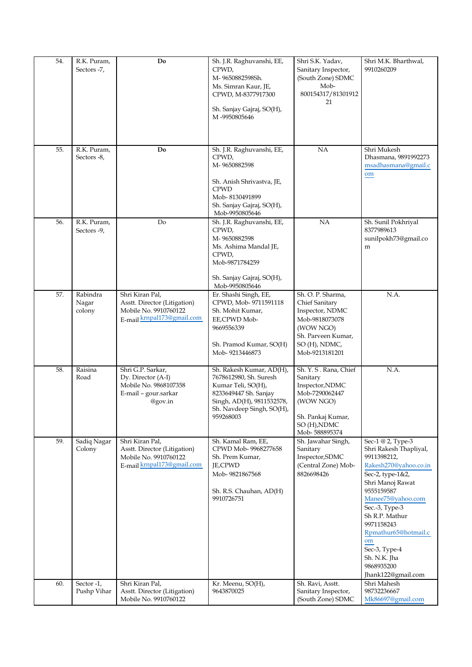| 54. | R.K. Puram,<br>Sectors -7,  | Do                                                                                                     | Sh. J.R. Raghuvanshi, EE,<br>CPWD,<br>M-9650882598Sh.<br>Ms. Simran Kaur, JE,<br>CPWD, M-8377917300<br>Sh. Sanjay Gajraj, SO(H),<br>M-9950805646                         | Shri S.K. Yadav,<br>Sanitary Inspector,<br>(South Zone) SDMC<br>Mob-<br>800154317/81301912<br>21                                               | Shri M.K. Bharthwal,<br>9910260209                                                                                                                                                                                                                                                                                  |
|-----|-----------------------------|--------------------------------------------------------------------------------------------------------|--------------------------------------------------------------------------------------------------------------------------------------------------------------------------|------------------------------------------------------------------------------------------------------------------------------------------------|---------------------------------------------------------------------------------------------------------------------------------------------------------------------------------------------------------------------------------------------------------------------------------------------------------------------|
| 55. | R.K. Puram,<br>Sectors -8,  | Do                                                                                                     | Sh. J.R. Raghuvanshi, EE,<br>CPWD,<br>M-9650882598<br>Sh. Anish Shrivastva, JE,<br><b>CPWD</b><br>Mob-8130491899<br>Sh. Sanjay Gajraj, SO(H),<br>Mob-9950805646          | NA                                                                                                                                             | Shri Mukesh<br>Dhasmana, 9891992273<br>msadhasmana@gmail.c<br>om                                                                                                                                                                                                                                                    |
| 56. | R.K. Puram,<br>Sectors -9,  | Do                                                                                                     | Sh. J.R. Raghuvanshi, EE,<br>CPWD,<br>M-9650882598<br>Ms. Ashima Mandal JE,<br>CPWD,<br>Mob-9871784259<br>Sh. Sanjay Gajraj, SO(H),<br>Mob-9950805646                    | <b>NA</b>                                                                                                                                      | Sh. Sunil Pokhriyal<br>8377989613<br>sunilpokh73@gmail.co<br>m                                                                                                                                                                                                                                                      |
| 57. | Rabindra<br>Nagar<br>colony | Shri Kiran Pal,<br>Asstt. Director (Litigation)<br>Mobile No. 9910760122<br>E-mail krnpal173@gmail.com | Er. Shashi Singh, EE,<br>CPWD, Mob- 9711591118<br>Sh. Mohit Kumar,<br>EE,CPWD Mob-<br>9669556339<br>Sh. Pramod Kumar, SO(H)<br>Mob-9213446873                            | Sh. O. P. Sharma,<br>Chief Sanitary<br>Inspector, NDMC<br>Mob-9818073078<br>(WOW NGO)<br>Sh. Parveen Kumar,<br>SO (H), NDMC,<br>Mob-9213181201 | N.A.                                                                                                                                                                                                                                                                                                                |
| 58. | Raisina<br>Road             | Shri G.P. Sarkar,<br>Dy. Director (A-I)<br>Mobile No. 9868107358<br>E-mail - gour.sarkar<br>@gov.in    | Sh. Rakesh Kumar, AD(H),<br>7678612980, Sh. Suresh<br>Kumar Teli, SO(H),<br>8233649447 Sh. Sanjay<br>Singh, AD(H), 9811532578,<br>Sh. Navdeep Singh, SO(H),<br>959268003 | Sh. Y. S. Rana, Chief<br>Sanitary<br>Inspector, NDMC<br>Mob-7290062447<br>(WOW NGO)<br>Sh. Pankaj Kumar,<br>SO (H), NDMC<br>Mob-588895374      | N.A.                                                                                                                                                                                                                                                                                                                |
| 59. | Sadiq Nagar<br>Colony       | Shri Kiran Pal,<br>Asstt. Director (Litigation)<br>Mobile No. 9910760122<br>E-mail krnpal173@gmail.com | Sh. Kamal Ram, EE,<br>CPWD Mob-9968277658<br>Sh. Prem Kumar,<br>JE,CPWD<br>Mob-9821867568<br>Sh. R.S. Chauhan, AD(H)<br>9910726751                                       | Sh. Jawahar Singh,<br>Sanitary<br>Inspector, SDMC<br>(Central Zone) Mob-<br>8826698426                                                         | Sec-1 @ 2, Type-3<br>Shri Rakesh Thapliyal,<br>9911398212,<br>Rakesh270@yahoo.co.in<br>Sec-2, type-1&2,<br>Shri Manoj Rawat<br>9555159587<br>Manee75@yahoo.com<br>Sec.-3, Type-3<br>Sh R.P. Mathur<br>9971158243<br>Rpmathur65@hotmail.c<br>om<br>Sec-3, Type-4<br>Sh. N.K. Jha<br>9868935200<br>Jhank122@gmail.com |
| 60. | Sector -1,<br>Pushp Vihar   | Shri Kiran Pal,<br>Asstt. Director (Litigation)<br>Mobile No. 9910760122                               | Kr. Meenu, SO(H),<br>9643870025                                                                                                                                          | Sh. Ravi, Asstt.<br>Sanitary Inspector,<br>(South Zone) SDMC                                                                                   | Shri Mahesh<br>98732236667<br>Mk86697@gmail.com                                                                                                                                                                                                                                                                     |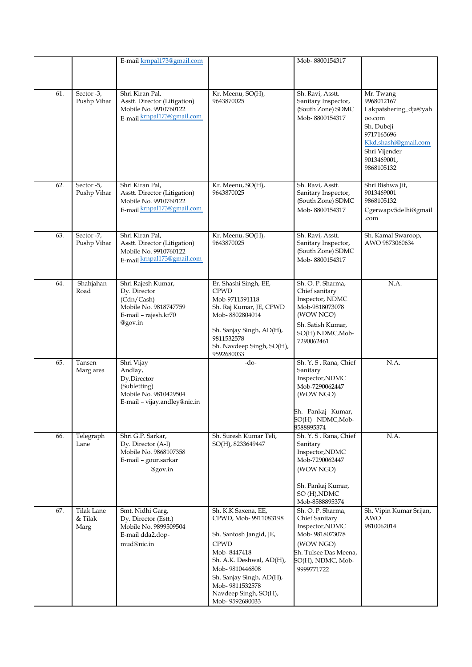|     |                               | E-mail krnpal173@gmail.com                                                                                    |                                                                                                                                                                                                                                             | Mob-8800154317                                                                                                                                    |                                                                                                                                                              |
|-----|-------------------------------|---------------------------------------------------------------------------------------------------------------|---------------------------------------------------------------------------------------------------------------------------------------------------------------------------------------------------------------------------------------------|---------------------------------------------------------------------------------------------------------------------------------------------------|--------------------------------------------------------------------------------------------------------------------------------------------------------------|
|     |                               |                                                                                                               |                                                                                                                                                                                                                                             |                                                                                                                                                   |                                                                                                                                                              |
| 61. | Sector -3,<br>Pushp Vihar     | Shri Kiran Pal,<br>Asstt. Director (Litigation)<br>Mobile No. 9910760122<br>E-mail krnpal173@gmail.com        | Kr. Meenu, SO(H),<br>9643870025                                                                                                                                                                                                             | Sh. Ravi, Asstt.<br>Sanitary Inspector,<br>(South Zone) SDMC<br>Mob-8800154317                                                                    | Mr. Twang<br>9968012167<br>Lakpatshering_dja@yah<br>oo.com<br>Sh. Dubeji<br>9717165696<br>Kkd.shashi@gmail.com<br>Shri Vijender<br>9013469001,<br>9868105132 |
| 62. | Sector -5,<br>Pushp Vihar     | Shri Kiran Pal,<br>Asstt. Director (Litigation)<br>Mobile No. 9910760122<br>E-mail krnpal173@gmail.com        | Kr. Meenu, SO(H),<br>9643870025                                                                                                                                                                                                             | Sh. Ravi, Asstt.<br>Sanitary Inspector,<br>(South Zone) SDMC<br>Mob-8800154317                                                                    | Shri Bishwa Jit,<br>9013469001<br>9868105132<br>Cgerwapv5delhi@gmail<br>.com                                                                                 |
| 63. | Sector -7,<br>Pushp Vihar     | Shri Kiran Pal,<br>Asstt. Director (Litigation)<br>Mobile No. 9910760122<br>E-mail krnpal173@gmail.com        | Kr. Meenu, SO(H),<br>9643870025                                                                                                                                                                                                             | Sh. Ravi, Asstt.<br>Sanitary Inspector,<br>(South Zone) SDMC<br>Mob-8800154317                                                                    | Sh. Kamal Swaroop,<br>AWO 9873060634                                                                                                                         |
| 64. | Shahjahan<br>Road             | Shri Rajesh Kumar,<br>Dy. Director<br>(Cdn/Cash)<br>Mobile No. 9818747759<br>E-mail - rajesh.kr70<br>@gov.in  | Er. Shashi Singh, EE,<br><b>CPWD</b><br>Mob-9711591118<br>Sh. Raj Kumar, JE, CPWD<br>Mob-8802804014<br>Sh. Sanjay Singh, AD(H),<br>9811532578<br>Sh. Navdeep Singh, SO(H),<br>9592680033                                                    | Sh. O. P. Sharma,<br>Chief sanitary<br>Inspector, NDMC<br>Mob-9818073078<br>(WOW NGO)<br>Sh. Satish Kumar,<br>SO(H) NDMC, Mob-<br>7290062461      | N.A.                                                                                                                                                         |
| 65. | Tansen<br>Marg area           | Shri Vijay<br>Andlay,<br>Dy.Director<br>(Subletting)<br>Mobile No. 9810429504<br>E-mail - vijay.andley@nic.in | -do-                                                                                                                                                                                                                                        | Sh. Y. S. Rana, Chief<br>Sanitary<br>Inspector, NDMC<br>Mob-7290062447<br>(WOW NGO)<br>Sh. Pankaj Kumar,<br>SO(H) NDMC, Mob-<br>8588895374        | N.A.                                                                                                                                                         |
| 66. | Telegraph<br>Lane             | Shri G.P. Sarkar,<br>Dy. Director (A-I)<br>Mobile No. 9868107358<br>E-mail - gour.sarkar<br>@gov.in           | Sh. Suresh Kumar Teli,<br>SO(H), 8233649447                                                                                                                                                                                                 | Sh. Y. S. Rana, Chief<br>Sanitary<br>Inspector, NDMC<br>Mob-7290062447<br>(WOW NGO)<br>Sh. Pankaj Kumar,<br>SO (H), NDMC<br>Mob-8588895374        | N.A.                                                                                                                                                         |
| 67. | Tilak Lane<br>& Tilak<br>Marg | Smt. Nidhi Garg,<br>Dy. Director (Estt.)<br>Mobile No. 9899509504<br>E-mail dda2.dop-<br>mud@nic.in           | Sh. K.K Saxena, EE,<br>CPWD, Mob-9911083198<br>Sh. Santosh Jangid, JE,<br><b>CPWD</b><br>Mob-8447418<br>Sh. A.K. Deshwal, AD(H),<br>Mob-9810446808<br>Sh. Sanjay Singh, AD(H),<br>Mob-9811532578<br>Navdeep Singh, SO(H),<br>Mob-9592680033 | Sh. O. P. Sharma,<br>Chief Sanitary<br>Inspector, NDMC<br>Mob-9818073078<br>(WOW NGO)<br>Sh. Tulsee Das Meena,<br>SO(H), NDMC, Mob-<br>9999771722 | Sh. Vipin Kumar Srijan,<br><b>AWO</b><br>9810062014                                                                                                          |